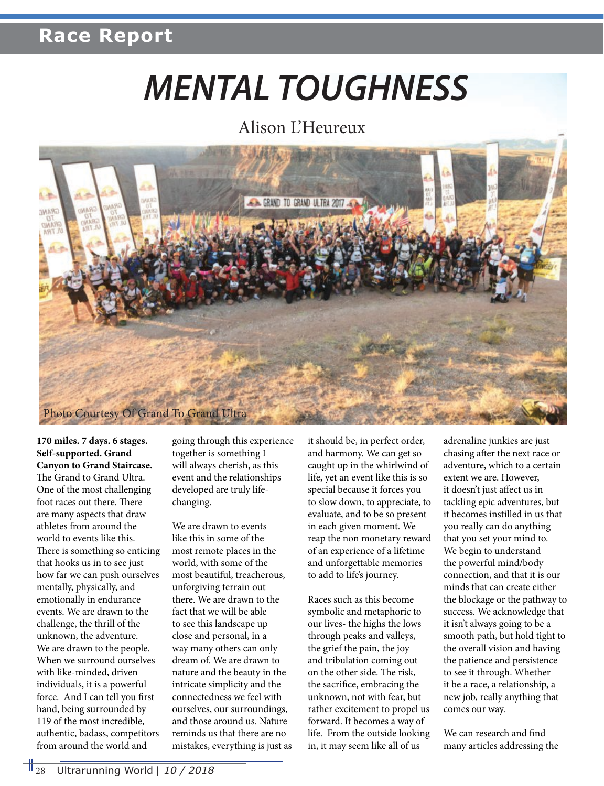# *MENTAL TOUGHNESS*

#### Alison L'Heureux



**170 miles. 7 days. 6 stages. Self-supported. Grand Canyon to Grand Staircase.**  The Grand to Grand Ultra. One of the most challenging foot races out there. There are many aspects that draw athletes from around the world to events like this. There is something so enticing that hooks us in to see just how far we can push ourselves mentally, physically, and emotionally in endurance events. We are drawn to the challenge, the thrill of the unknown, the adventure. We are drawn to the people. When we surround ourselves with like-minded, driven individuals, it is a powerful force. And I can tell you first hand, being surrounded by 119 of the most incredible, authentic, badass, competitors from around the world and

going through this experience together is something I will always cherish, as this event and the relationships developed are truly lifechanging.

We are drawn to events like this in some of the most remote places in the world, with some of the most beautiful, treacherous, unforgiving terrain out there. We are drawn to the fact that we will be able to see this landscape up close and personal, in a way many others can only dream of. We are drawn to nature and the beauty in the intricate simplicity and the connectedness we feel with ourselves, our surroundings, and those around us. Nature reminds us that there are no mistakes, everything is just as it should be, in perfect order, and harmony. We can get so caught up in the whirlwind of life, yet an event like this is so special because it forces you to slow down, to appreciate, to evaluate, and to be so present in each given moment. We reap the non monetary reward of an experience of a lifetime and unforgettable memories to add to life's journey.

Races such as this become symbolic and metaphoric to our lives- the highs the lows through peaks and valleys, the grief the pain, the joy and tribulation coming out on the other side. The risk, the sacrifice, embracing the unknown, not with fear, but rather excitement to propel us forward. It becomes a way of life. From the outside looking in, it may seem like all of us

adrenaline junkies are just chasing after the next race or adventure, which to a certain extent we are. However, it doesn't just affect us in tackling epic adventures, but it becomes instilled in us that you really can do anything that you set your mind to. We begin to understand the powerful mind/body connection, and that it is our minds that can create either the blockage or the pathway to success. We acknowledge that it isn't always going to be a smooth path, but hold tight to the overall vision and having the patience and persistence to see it through. Whether it be a race, a relationship, a new job, really anything that comes our way.

We can research and find many articles addressing the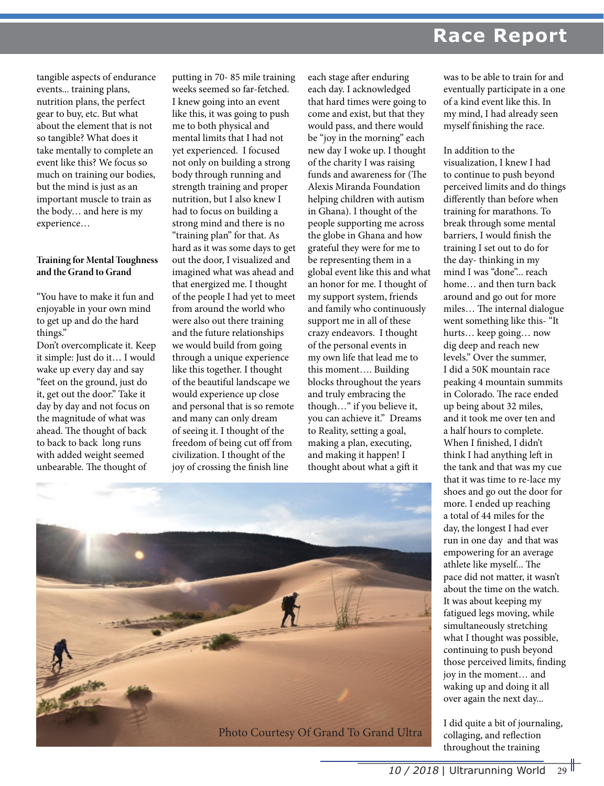tangible aspects of endurance events... training plans, nutrition plans, the perfect gear to buy, etc. But what about the element that is not so tangible? What does it take mentally to complete an event like this? We focus so much on training our bodies, but the mind is just as an important muscle to train as the body… and here is my experience…

#### **Training for Mental Toughness and the Grand to Grand**

"You have to make it fun and enjoyable in your own mind to get up and do the hard things."

Don't overcomplicate it. Keep it simple: Just do it… I would wake up every day and say "feet on the ground, just do it, get out the door." Take it day by day and not focus on the magnitude of what was ahead. The thought of back to back to back long runs with added weight seemed unbearable. The thought of

putting in 70- 85 mile training weeks seemed so far-fetched. I knew going into an event like this, it was going to push me to both physical and mental limits that I had not yet experienced. I focused not only on building a strong body through running and strength training and proper nutrition, but I also knew I had to focus on building a strong mind and there is no "training plan" for that. As hard as it was some days to get out the door, I visualized and imagined what was ahead and that energized me. I thought of the people I had yet to meet from around the world who were also out there training and the future relationships we would build from going through a unique experience like this together. I thought of the beautiful landscape we would experience up close and personal that is so remote and many can only dream of seeing it. I thought of the freedom of being cut off from civilization. I thought of the joy of crossing the finish line

each stage after enduring each day. I acknowledged that hard times were going to come and exist, but that they would pass, and there would be "joy in the morning" each new day I woke up. I thought of the charity I was raising funds and awareness for (The Alexis Miranda Foundation helping children with autism in Ghana). I thought of the people supporting me across the globe in Ghana and how grateful they were for me to be representing them in a global event like this and what an honor for me. I thought of my support system, friends and family who continuously support me in all of these crazy endeavors. I thought of the personal events in my own life that lead me to this moment…. Building blocks throughout the years and truly embracing the though…" if you believe it, you can achieve it." Dreams to Reality, setting a goal, making a plan, executing, and making it happen! I thought about what a gift it

was to be able to train for and eventually participate in a one of a kind event like this. In my mind, I had already seen myself finishing the race.

In addition to the visualization, I knew I had to continue to push beyond perceived limits and do things differently than before when training for marathons. To break through some mental barriers, I would finish the training I set out to do for the day- thinking in my mind I was "done"... reach home… and then turn back around and go out for more miles… The internal dialogue went something like this- "It hurts… keep going… now dig deep and reach new levels." Over the summer, I did a 50K mountain race peaking 4 mountain summits in Colorado. The race ended up being about 32 miles, and it took me over ten and a half hours to complete. When I finished, I didn't think I had anything left in the tank and that was my cue that it was time to re-lace my shoes and go out the door for more. I ended up reaching a total of 44 miles for the day, the longest I had ever run in one day and that was empowering for an average athlete like myself... The pace did not matter, it wasn't about the time on the watch. It was about keeping my fatigued legs moving, while simultaneously stretching what I thought was possible, continuing to push beyond those perceived limits, finding joy in the moment… and waking up and doing it all over again the next day...

I did quite a bit of journaling, collaging, and reflection throughout the training

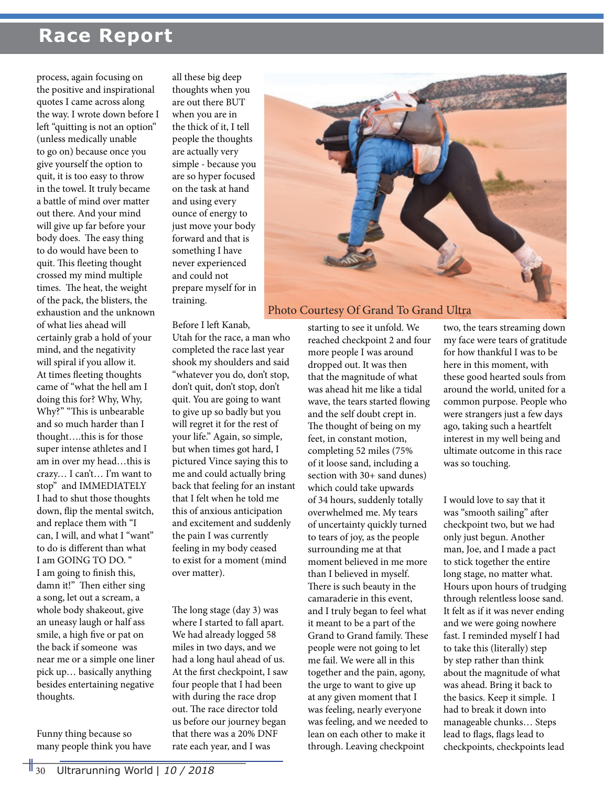process, again focusing on the positive and inspirational quotes I came across along the way. I wrote down before I left "quitting is not an option" (unless medically unable to go on) because once you give yourself the option to quit, it is too easy to throw in the towel. It truly became a battle of mind over matter out there. And your mind will give up far before your body does. The easy thing to do would have been to quit. This fleeting thought crossed my mind multiple times. The heat, the weight of the pack, the blisters, the exhaustion and the unknown of what lies ahead will certainly grab a hold of your mind, and the negativity will spiral if you allow it. At times fleeting thoughts came of "what the hell am I doing this for? Why, Why, Why?" "This is unbearable and so much harder than I thought….this is for those super intense athletes and I am in over my head…this is crazy… I can't… I'm want to stop" and IMMEDIATELY I had to shut those thoughts down, flip the mental switch, and replace them with "I can, I will, and what I "want" to do is different than what I am GOING TO DO. " I am going to finish this, damn it!" Then either sing a song, let out a scream, a whole body shakeout, give an uneasy laugh or half ass smile, a high five or pat on the back if someone was near me or a simple one liner pick up… basically anything besides entertaining negative thoughts.

Funny thing because so many people think you have

all these big deep thoughts when you are out there BUT when you are in the thick of it, I tell people the thoughts are actually very simple - because you are so hyper focused on the task at hand and using every ounce of energy to just move your body forward and that is something I have never experienced and could not prepare myself for in training.

Before I left Kanab,

Utah for the race, a man who completed the race last year shook my shoulders and said "whatever you do, don't stop, don't quit, don't stop, don't quit. You are going to want to give up so badly but you will regret it for the rest of your life." Again, so simple, but when times got hard, I pictured Vince saying this to me and could actually bring back that feeling for an instant that I felt when he told me this of anxious anticipation and excitement and suddenly the pain I was currently feeling in my body ceased to exist for a moment (mind over matter).

The long stage (day 3) was where I started to fall apart. We had already logged 58 miles in two days, and we had a long haul ahead of us. At the first checkpoint, I saw four people that I had been with during the race drop out. The race director told us before our journey began that there was a 20% DNF rate each year, and I was



starting to see it unfold. We reached checkpoint 2 and four more people I was around dropped out. It was then that the magnitude of what was ahead hit me like a tidal wave, the tears started flowing and the self doubt crept in. The thought of being on my feet, in constant motion, completing 52 miles (75% of it loose sand, including a section with 30+ sand dunes) which could take upwards of 34 hours, suddenly totally overwhelmed me. My tears of uncertainty quickly turned to tears of joy, as the people surrounding me at that moment believed in me more than I believed in myself. There is such beauty in the camaraderie in this event, and I truly began to feel what it meant to be a part of the Grand to Grand family. These people were not going to let me fail. We were all in this together and the pain, agony, the urge to want to give up at any given moment that I was feeling, nearly everyone was feeling, and we needed to lean on each other to make it through. Leaving checkpoint

two, the tears streaming down my face were tears of gratitude for how thankful I was to be here in this moment, with these good hearted souls from around the world, united for a common purpose. People who were strangers just a few days ago, taking such a heartfelt interest in my well being and ultimate outcome in this race was so touching.

I would love to say that it was "smooth sailing" after checkpoint two, but we had only just begun. Another man, Joe, and I made a pact to stick together the entire long stage, no matter what. Hours upon hours of trudging through relentless loose sand. It felt as if it was never ending and we were going nowhere fast. I reminded myself I had to take this (literally) step by step rather than think about the magnitude of what was ahead. Bring it back to the basics. Keep it simple. I had to break it down into manageable chunks… Steps lead to flags, flags lead to checkpoints, checkpoints lead